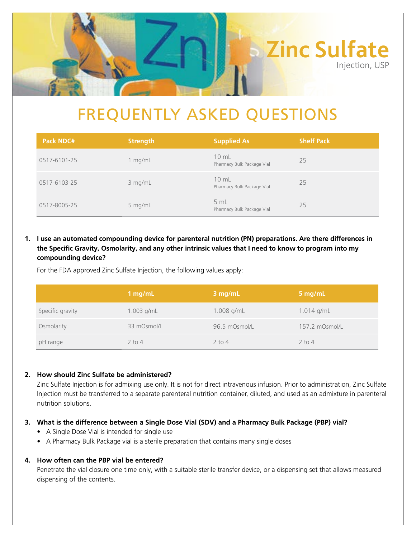

# FREQUENTLY ASKED QUESTIONS

| <b>Pack NDC#</b> | <b>Strength</b> | <b>Supplied As</b>                            | <b>Shelf Pack</b> |
|------------------|-----------------|-----------------------------------------------|-------------------|
| 0517-6101-25     | 1 $mg/mL$       | $10 \text{ mL}$<br>Pharmacy Bulk Package Vial | 25                |
| 0517-6103-25     | 3 mg/mL         | $10 \text{ mL}$<br>Pharmacy Bulk Package Vial | 25                |
| 0517-8005-25     | 5 mg/mL         | 5 mL<br>Pharmacy Bulk Package Vial            | 25                |

# **1. I use an automated compounding device for parenteral nutrition (PN) preparations. Are there differences in the Specific Gravity, Osmolarity, and any other intrinsic values that I need to know to program into my compounding device?**

For the FDA approved Zinc Sulfate Injection, the following values apply:

|                  | 1 $mg/mL$    | 3 mg/mL       | 5 mg/mL        |
|------------------|--------------|---------------|----------------|
| Specific gravity | $1.003$ g/mL | $1.008$ g/mL  | 1.014 g/mL     |
| Osmolarity       | 33 mOsmol/L  | 96.5 mOsmol/L | 157.2 mOsmol/L |
| pH range         | $2$ to $4$   | $2$ to 4      | $2$ to 4       |

# **2. How should Zinc Sulfate be administered?**

 Zinc Sulfate Injection is for admixing use only. It is not for direct intravenous infusion. Prior to administration, Zinc Sulfate Injection must be transferred to a separate parenteral nutrition container, diluted, and used as an admixture in parenteral nutrition solutions.

# **3. What is the difference between a Single Dose Vial (SDV) and a Pharmacy Bulk Package (PBP) vial?**

- A Single Dose Vial is intended for single use
- A Pharmacy Bulk Package vial is a sterile preparation that contains many single doses

# **4. How often can the PBP vial be entered?**

Penetrate the vial closure one time only, with a suitable sterile transfer device, or a dispensing set that allows measured dispensing of the contents.